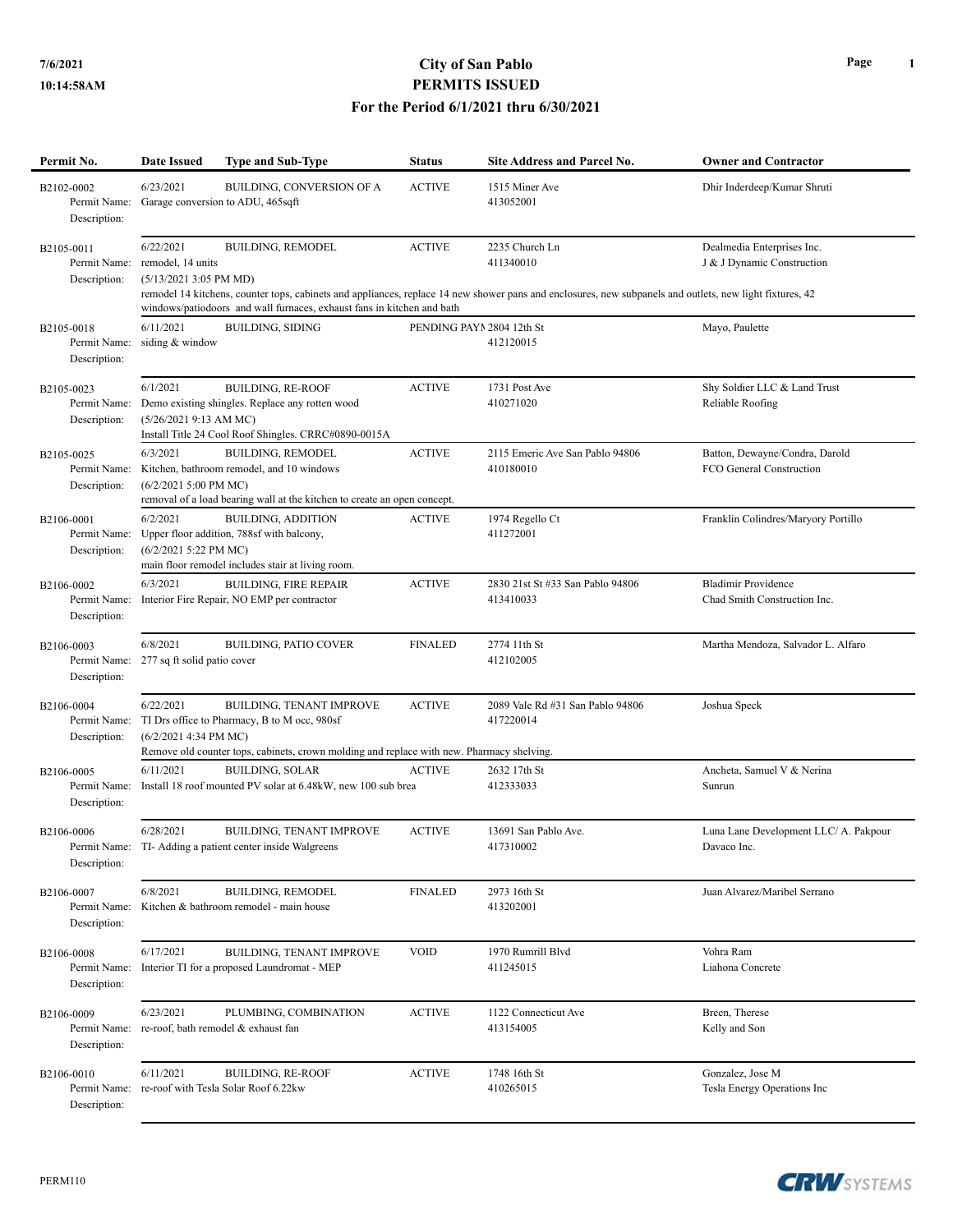## **7/6/2021 City of San Pablo PERMITS ISSUED For the Period 6/1/2021 thru 6/30/2021**

| Permit No.                                 | <b>Date Issued</b>                                          | <b>Type and Sub-Type</b>                                                                                                                                              | <b>Status</b>             | <b>Site Address and Parcel No.</b>                                                                                                                                                      | <b>Owner and Contractor</b>                                |
|--------------------------------------------|-------------------------------------------------------------|-----------------------------------------------------------------------------------------------------------------------------------------------------------------------|---------------------------|-----------------------------------------------------------------------------------------------------------------------------------------------------------------------------------------|------------------------------------------------------------|
| B2102-0002<br>Description:                 | 6/23/2021<br>Permit Name: Garage conversion to ADU, 465sqft | BUILDING, CONVERSION OF A                                                                                                                                             | <b>ACTIVE</b>             | 1515 Miner Ave<br>413052001                                                                                                                                                             | Dhir Inderdeep/Kumar Shruti                                |
| B2105-0011<br>Permit Name:<br>Description: | 6/22/2021<br>remodel, 14 units<br>$(5/13/20213:05$ PM MD)   | <b>BUILDING, REMODEL</b><br>windows/patiodoors and wall furnaces, exhaust fans in kitchen and bath                                                                    | <b>ACTIVE</b>             | 2235 Church Ln<br>411340010<br>remodel 14 kitchens, counter tops, cabinets and appliances, replace 14 new shower pans and enclosures, new subpanels and outlets, new light fixtures, 42 | Dealmedia Enterprises Inc.<br>J & J Dynamic Construction   |
| B2105-0018<br>Permit Name:<br>Description: | 6/11/2021<br>siding & window                                | <b>BUILDING, SIDING</b>                                                                                                                                               | PENDING PAYN 2804 12th St | 412120015                                                                                                                                                                               | Mayo, Paulette                                             |
| B2105-0023<br>Permit Name:<br>Description: | 6/1/2021<br>$(5/26/20219:13$ AM MC)                         | <b>BUILDING, RE-ROOF</b><br>Demo existing shingles. Replace any rotten wood<br>Install Title 24 Cool Roof Shingles. CRRC#0890-0015A                                   | <b>ACTIVE</b>             | 1731 Post Ave<br>410271020                                                                                                                                                              | Shy Soldier LLC & Land Trust<br>Reliable Roofing           |
| B2105-0025<br>Permit Name:<br>Description: | 6/3/2021<br>$(6/2/20215:00$ PM MC)                          | <b>BUILDING, REMODEL</b><br>Kitchen, bathroom remodel, and 10 windows<br>removal of a load bearing wall at the kitchen to create an open concept.                     | <b>ACTIVE</b>             | 2115 Emeric Ave San Pablo 94806<br>410180010                                                                                                                                            | Batton, Dewayne/Condra, Darold<br>FCO General Construction |
| B2106-0001<br>Permit Name:<br>Description: | 6/2/2021<br>(6/2/2021 5:22 PM MC)                           | <b>BUILDING, ADDITION</b><br>Upper floor addition, 788sf with balcony,<br>main floor remodel includes stair at living room.                                           | <b>ACTIVE</b>             | 1974 Regello Ct<br>411272001                                                                                                                                                            | Franklin Colindres/Maryory Portillo                        |
| B2106-0002<br>Permit Name:<br>Description: | 6/3/2021                                                    | <b>BUILDING, FIRE REPAIR</b><br>Interior Fire Repair, NO EMP per contractor                                                                                           | <b>ACTIVE</b>             | 2830 21st St #33 San Pablo 94806<br>413410033                                                                                                                                           | <b>Bladimir Providence</b><br>Chad Smith Construction Inc. |
| B2106-0003<br>Permit Name:<br>Description: | 6/8/2021<br>277 sq ft solid patio cover                     | <b>BUILDING, PATIO COVER</b>                                                                                                                                          | <b>FINALED</b>            | 2774 11th St<br>412102005                                                                                                                                                               | Martha Mendoza, Salvador L. Alfaro                         |
| B2106-0004<br>Permit Name:<br>Description: | 6/22/2021<br>$(6/2/20214:34 \text{ PM MC})$                 | BUILDING, TENANT IMPROVE<br>TI Drs office to Pharmacy, B to M occ, 980sf<br>Remove old counter tops, cabinets, crown molding and replace with new. Pharmacy shelving. | <b>ACTIVE</b>             | 2089 Vale Rd #31 San Pablo 94806<br>417220014                                                                                                                                           | Joshua Speck                                               |
| B2106-0005<br>Permit Name:<br>Description: | 6/11/2021                                                   | <b>BUILDING, SOLAR</b><br>Install 18 roof mounted PV solar at 6.48kW, new 100 sub brea                                                                                | <b>ACTIVE</b>             | 2632 17th St<br>412333033                                                                                                                                                               | Ancheta, Samuel V & Nerina<br>Sunrun                       |
| B2106-0006<br>Description:                 | 6/28/2021                                                   | BUILDING, TENANT IMPROVE<br>Permit Name: TI- Adding a patient center inside Walgreens                                                                                 | <b>ACTIVE</b>             | 13691 San Pablo Ave.<br>417310002                                                                                                                                                       | Luna Lane Development LLC/ A. Pakpour<br>Davaco Inc.       |
| B2106-0007<br>Permit Name:<br>Description: | 6/8/2021                                                    | <b>BUILDING, REMODEL</b><br>Kitchen & bathroom remodel - main house                                                                                                   | <b>FINALED</b>            | 2973 16th St<br>413202001                                                                                                                                                               | Juan Alvarez/Maribel Serrano                               |
| B2106-0008<br>Permit Name:<br>Description: | 6/17/2021                                                   | BUILDING, TENANT IMPROVE<br>Interior TI for a proposed Laundromat - MEP                                                                                               | <b>VOID</b>               | 1970 Rumrill Blvd<br>411245015                                                                                                                                                          | Vohra Ram<br>Liahona Concrete                              |
| B2106-0009<br>Permit Name:<br>Description: | 6/23/2021                                                   | PLUMBING, COMBINATION<br>re-roof, bath remodel & exhaust fan                                                                                                          | <b>ACTIVE</b>             | 1122 Connecticut Ave<br>413154005                                                                                                                                                       | Breen, Therese<br>Kelly and Son                            |
| B2106-0010<br>Permit Name:<br>Description: | 6/11/2021                                                   | <b>BUILDING, RE-ROOF</b><br>re-roof with Tesla Solar Roof 6.22kw                                                                                                      | <b>ACTIVE</b>             | 1748 16th St<br>410265015                                                                                                                                                               | Gonzalez, Jose M<br>Tesla Energy Operations Inc            |



**CRW**SYSTEMS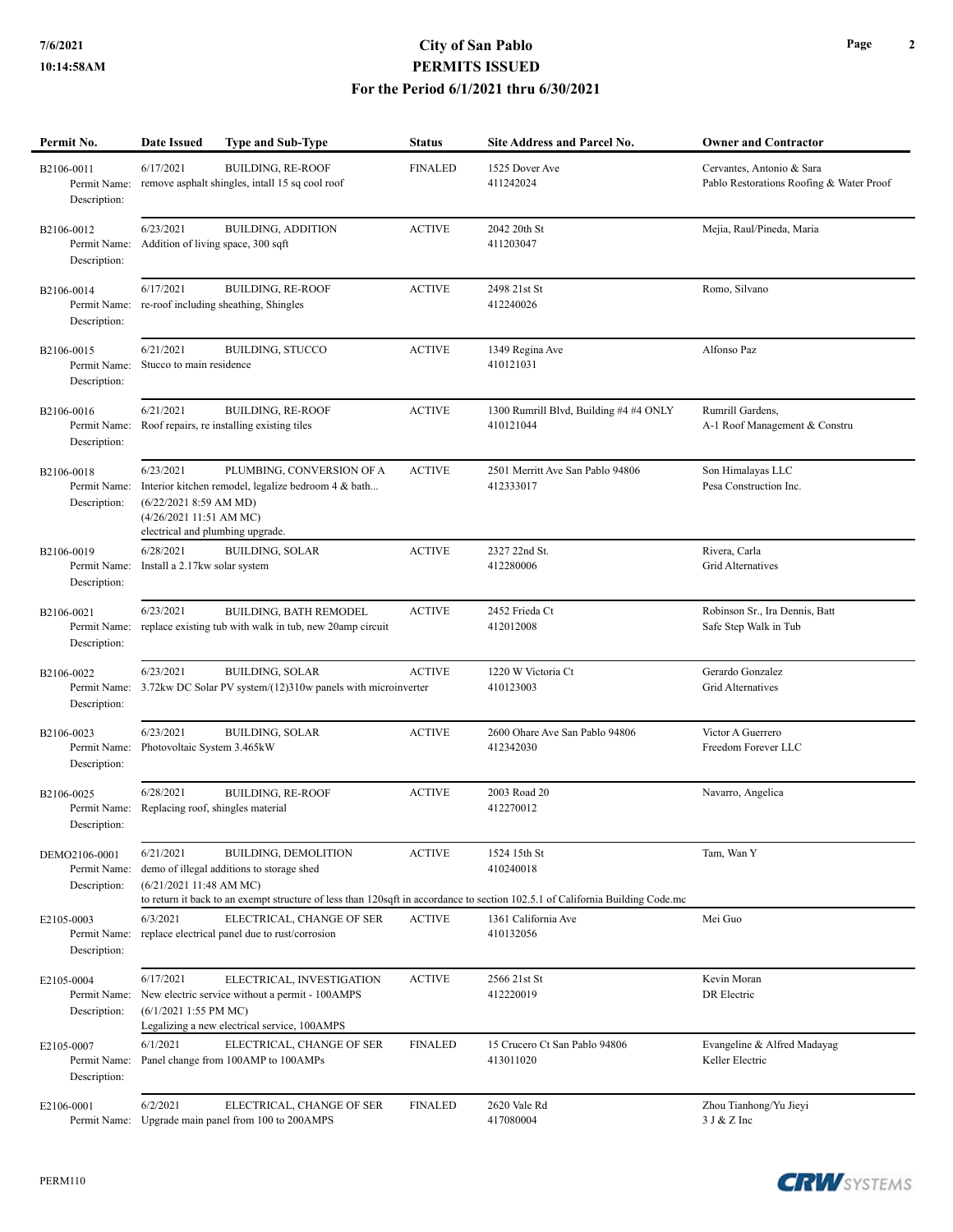## **7/6/2021 City of San Pablo PERMITS ISSUED For the Period 6/1/2021 thru 6/30/2021**

| Permit No.                                    | <b>Date Issued</b>                                                                                 | <b>Type and Sub-Type</b>                                                                                                     | <b>Status</b>  | <b>Site Address and Parcel No.</b>                                                                                                                         | <b>Owner and Contractor</b>                                           |
|-----------------------------------------------|----------------------------------------------------------------------------------------------------|------------------------------------------------------------------------------------------------------------------------------|----------------|------------------------------------------------------------------------------------------------------------------------------------------------------------|-----------------------------------------------------------------------|
| B2106-0011<br>Permit Name:<br>Description:    | 6/17/2021                                                                                          | <b>BUILDING, RE-ROOF</b><br>remove asphalt shingles, intall 15 sq cool roof                                                  | <b>FINALED</b> | 1525 Dover Ave<br>411242024                                                                                                                                | Cervantes, Antonio & Sara<br>Pablo Restorations Roofing & Water Proof |
| B2106-0012<br>Permit Name:<br>Description:    | 6/23/2021<br>Addition of living space, 300 sqft                                                    | <b>BUILDING, ADDITION</b>                                                                                                    | <b>ACTIVE</b>  | 2042 20th St<br>411203047                                                                                                                                  | Mejia, Raul/Pineda, Maria                                             |
| B2106-0014<br>Permit Name:<br>Description:    | 6/17/2021                                                                                          | <b>BUILDING, RE-ROOF</b><br>re-roof including sheathing, Shingles                                                            | <b>ACTIVE</b>  | 2498 21st St<br>412240026                                                                                                                                  | Romo, Silvano                                                         |
| B2106-0015<br>Permit Name:<br>Description:    | 6/21/2021<br>Stucco to main residence                                                              | <b>BUILDING, STUCCO</b>                                                                                                      | <b>ACTIVE</b>  | 1349 Regina Ave<br>410121031                                                                                                                               | Alfonso Paz                                                           |
| B2106-0016<br>Permit Name:<br>Description:    | 6/21/2021                                                                                          | <b>BUILDING, RE-ROOF</b><br>Roof repairs, re installing existing tiles                                                       | <b>ACTIVE</b>  | 1300 Rumrill Blvd, Building #4 #4 ONLY<br>410121044                                                                                                        | Rumrill Gardens,<br>A-1 Roof Management & Constru                     |
| B2106-0018<br>Permit Name:<br>Description:    | 6/23/2021<br>(6/22/2021 8:59 AM MD)<br>(4/26/2021 11:51 AM MC)<br>electrical and plumbing upgrade. | PLUMBING, CONVERSION OF A<br>Interior kitchen remodel, legalize bedroom 4 & bath                                             | <b>ACTIVE</b>  | 2501 Merritt Ave San Pablo 94806<br>412333017                                                                                                              | Son Himalayas LLC<br>Pesa Construction Inc.                           |
| B2106-0019<br>Permit Name:<br>Description:    | 6/28/2021<br>Install a 2.17kw solar system                                                         | <b>BUILDING, SOLAR</b>                                                                                                       | <b>ACTIVE</b>  | 2327 22nd St.<br>412280006                                                                                                                                 | Rivera, Carla<br>Grid Alternatives                                    |
| B2106-0021<br>Permit Name:<br>Description:    | 6/23/2021                                                                                          | <b>BUILDING, BATH REMODEL</b><br>replace existing tub with walk in tub, new 20amp circuit                                    | <b>ACTIVE</b>  | 2452 Frieda Ct<br>412012008                                                                                                                                | Robinson Sr., Ira Dennis, Batt<br>Safe Step Walk in Tub               |
| B2106-0022<br>Permit Name:<br>Description:    | 6/23/2021                                                                                          | <b>BUILDING, SOLAR</b><br>3.72kw DC Solar PV system/(12)310w panels with microinverter                                       | <b>ACTIVE</b>  | 1220 W Victoria Ct<br>410123003                                                                                                                            | Gerardo Gonzalez<br>Grid Alternatives                                 |
| B2106-0023<br>Permit Name:<br>Description:    | 6/23/2021<br>Photovoltaic System 3.465kW                                                           | <b>BUILDING, SOLAR</b>                                                                                                       | <b>ACTIVE</b>  | 2600 Ohare Ave San Pablo 94806<br>412342030                                                                                                                | Victor A Guerrero<br>Freedom Forever LLC                              |
| B2106-0025<br>Permit Name:<br>Description:    | 6/28/2021<br>Replacing roof, shingles material                                                     | <b>BUILDING, RE-ROOF</b>                                                                                                     | <b>ACTIVE</b>  | 2003 Road 20<br>412270012                                                                                                                                  | Navarro, Angelica                                                     |
| DEMO2106-0001<br>Permit Name:<br>Description: | 6/21/2021<br>(6/21/202111:48 AMMC)                                                                 | BUILDING, DEMOLITION<br>demo of illegal additions to storage shed                                                            | <b>ACTIVE</b>  | 1524 15th St<br>410240018<br>to return it back to an exempt structure of less than 120sqft in accordance to section 102.5.1 of California Building Code.mc | Tam, Wan Y                                                            |
| E2105-0003<br>Permit Name:<br>Description:    | 6/3/2021                                                                                           | ELECTRICAL, CHANGE OF SER<br>replace electrical panel due to rust/corrosion                                                  | <b>ACTIVE</b>  | 1361 California Ave<br>410132056                                                                                                                           | Mei Guo                                                               |
| E2105-0004<br>Permit Name:<br>Description:    | 6/17/2021<br>$(6/1/20211:55$ PM MC)                                                                | ELECTRICAL, INVESTIGATION<br>New electric service without a permit - 100AMPS<br>Legalizing a new electrical service, 100AMPS | <b>ACTIVE</b>  | 2566 21st St<br>412220019                                                                                                                                  | Kevin Moran<br><b>DR</b> Electric                                     |
| E2105-0007<br>Permit Name:<br>Description:    | 6/1/2021                                                                                           | ELECTRICAL, CHANGE OF SER<br>Panel change from 100AMP to 100AMPs                                                             | <b>FINALED</b> | 15 Crucero Ct San Pablo 94806<br>413011020                                                                                                                 | Evangeline & Alfred Madayag<br>Keller Electric                        |
| E2106-0001<br>Permit Name:                    | 6/2/2021                                                                                           | ELECTRICAL, CHANGE OF SER<br>Upgrade main panel from 100 to 200AMPS                                                          | <b>FINALED</b> | 2620 Vale Rd<br>417080004                                                                                                                                  | Zhou Tianhong/Yu Jieyi<br>3 J & Z Inc                                 |